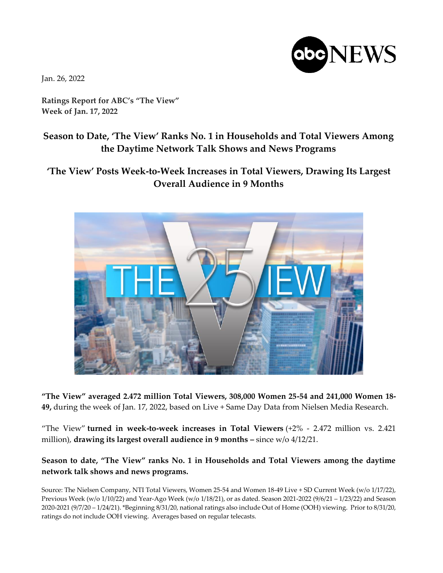

Jan. 26, 2022

**Ratings Report for ABC's "The View" Week of Jan. 17, 2022**

## **Season to Date, 'The View' Ranks No. 1 in Households and Total Viewers Among the Daytime Network Talk Shows and News Programs**

## **'The View' Posts Week-to-Week Increases in Total Viewers, Drawing Its Largest Overall Audience in 9 Months**



**"The View" averaged 2.472 million Total Viewers, 308,000 Women 25-54 and 241,000 Women 18- 49,** during the week of Jan. 17, 2022, based on Live + Same Day Data from Nielsen Media Research.

"The View" **turned in week-to-week increases in Total Viewers** (+2% - 2.472 million vs. 2.421 million), drawing its largest overall audience in 9 months - since w/o 4/12/21.

## **Season to date, "The View" ranks No. 1 in Households and Total Viewers among the daytime network talk shows and news programs.**

Source: The Nielsen Company, NTI Total Viewers, Women 25-54 and Women 18-49 Live + SD Current Week (w/o 1/17/22), Previous Week (w/o 1/10/22) and Year-Ago Week (w/o 1/18/21), or as dated. Season 2021-2022 (9/6/21 – 1/23/22) and Season 2020-2021 (9/7/20 – 1/24/21). \*Beginning 8/31/20, national ratings also include Out of Home (OOH) viewing. Prior to 8/31/20, ratings do not include OOH viewing. Averages based on regular telecasts.